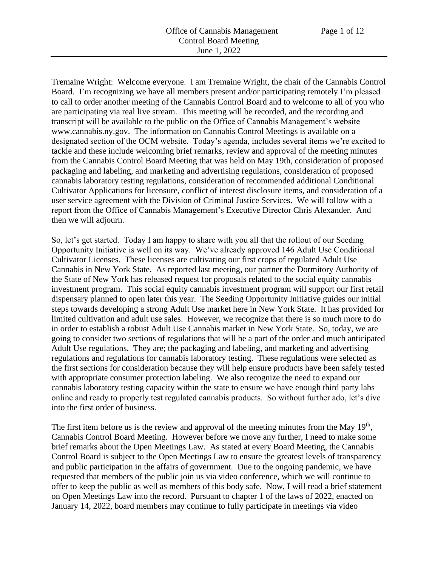Tremaine Wright: Welcome everyone. I am Tremaine Wright, the chair of the Cannabis Control Board. I'm recognizing we have all members present and/or participating remotely I'm pleased to call to order another meeting of the Cannabis Control Board and to welcome to all of you who are participating via real live stream. This meeting will be recorded, and the recording and transcript will be available to the public on the Office of Cannabis Management's website www.cannabis.ny.gov. The information on Cannabis Control Meetings is available on a designated section of the OCM website. Today's agenda, includes several items we're excited to tackle and these include welcoming brief remarks, review and approval of the meeting minutes from the Cannabis Control Board Meeting that was held on May 19th, consideration of proposed packaging and labeling, and marketing and advertising regulations, consideration of proposed cannabis laboratory testing regulations, consideration of recommended additional Conditional Cultivator Applications for licensure, conflict of interest disclosure items, and consideration of a user service agreement with the Division of Criminal Justice Services. We will follow with a report from the Office of Cannabis Management's Executive Director Chris Alexander. And then we will adjourn.

So, let's get started. Today I am happy to share with you all that the rollout of our Seeding Opportunity Initiative is well on its way. We've already approved 146 Adult Use Conditional Cultivator Licenses. These licenses are cultivating our first crops of regulated Adult Use Cannabis in New York State. As reported last meeting, our partner the Dormitory Authority of the State of New York has released request for proposals related to the social equity cannabis investment program. This social equity cannabis investment program will support our first retail dispensary planned to open later this year. The Seeding Opportunity Initiative guides our initial steps towards developing a strong Adult Use market here in New York State. It has provided for limited cultivation and adult use sales. However, we recognize that there is so much more to do in order to establish a robust Adult Use Cannabis market in New York State. So, today, we are going to consider two sections of regulations that will be a part of the order and much anticipated Adult Use regulations. They are; the packaging and labeling, and marketing and advertising regulations and regulations for cannabis laboratory testing. These regulations were selected as the first sections for consideration because they will help ensure products have been safely tested with appropriate consumer protection labeling. We also recognize the need to expand our cannabis laboratory testing capacity within the state to ensure we have enough third party labs online and ready to properly test regulated cannabis products. So without further ado, let's dive into the first order of business.

The first item before us is the review and approval of the meeting minutes from the May  $19<sup>th</sup>$ , Cannabis Control Board Meeting. However before we move any further, I need to make some brief remarks about the Open Meetings Law. As stated at every Board Meeting, the Cannabis Control Board is subject to the Open Meetings Law to ensure the greatest levels of transparency and public participation in the affairs of government. Due to the ongoing pandemic, we have requested that members of the public join us via video conference, which we will continue to offer to keep the public as well as members of this body safe. Now, I will read a brief statement on Open Meetings Law into the record. Pursuant to chapter 1 of the laws of 2022, enacted on January 14, 2022, board members may continue to fully participate in meetings via video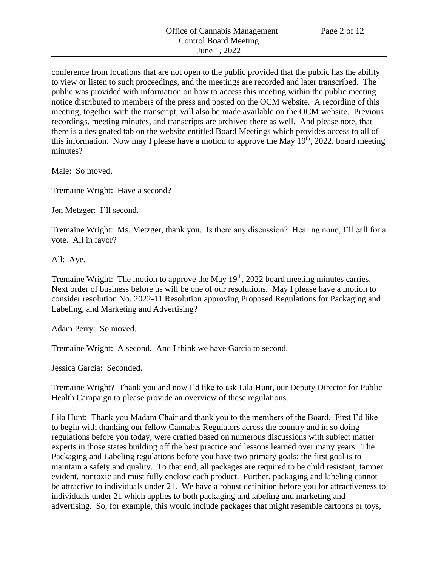conference from locations that are not open to the public provided that the public has the ability to view or listen to such proceedings, and the meetings are recorded and later transcribed. The public was provided with information on how to access this meeting within the public meeting notice distributed to members of the press and posted on the OCM website. A recording of this meeting, together with the transcript, will also be made available on the OCM website. Previous recordings, meeting minutes, and transcripts are archived there as well. And please note, that there is a designated tab on the website entitled Board Meetings which provides access to all of this information. Now may I please have a motion to approve the May  $19<sup>th</sup>$ , 2022, board meeting minutes?

Male: So moved.

Tremaine Wright: Have a second?

Jen Metzger: I'll second.

Tremaine Wright: Ms. Metzger, thank you. Is there any discussion? Hearing none, I'll call for a vote. All in favor?

All: Aye.

Tremaine Wright: The motion to approve the May  $19<sup>th</sup>$ , 2022 board meeting minutes carries. Next order of business before us will be one of our resolutions. May I please have a motion to consider resolution No. 2022-11 Resolution approving Proposed Regulations for Packaging and Labeling, and Marketing and Advertising?

Adam Perry: So moved.

Tremaine Wright: A second. And I think we have Garcia to second.

Jessica Garcia: Seconded.

Tremaine Wright? Thank you and now I'd like to ask Lila Hunt, our Deputy Director for Public Health Campaign to please provide an overview of these regulations.

Lila Hunt: Thank you Madam Chair and thank you to the members of the Board. First I'd like to begin with thanking our fellow Cannabis Regulators across the country and in so doing regulations before you today, were crafted based on numerous discussions with subject matter experts in those states building off the best practice and lessons learned over many years. The Packaging and Labeling regulations before you have two primary goals; the first goal is to maintain a safety and quality. To that end, all packages are required to be child resistant, tamper evident, nontoxic and must fully enclose each product. Further, packaging and labeling cannot be attractive to individuals under 21. We have a robust definition before you for attractiveness to individuals under 21 which applies to both packaging and labeling and marketing and advertising. So, for example, this would include packages that might resemble cartoons or toys,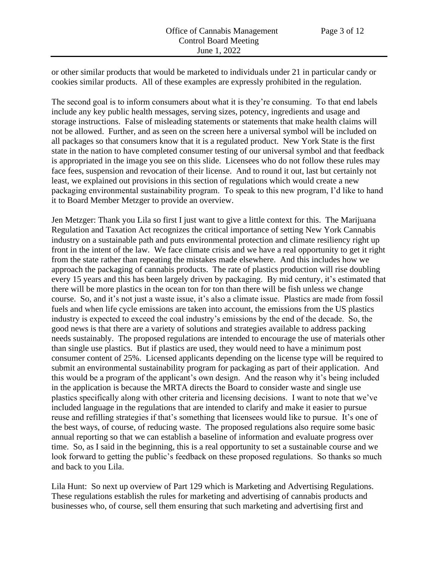or other similar products that would be marketed to individuals under 21 in particular candy or cookies similar products. All of these examples are expressly prohibited in the regulation.

The second goal is to inform consumers about what it is they're consuming. To that end labels include any key public health messages, serving sizes, potency, ingredients and usage and storage instructions. False of misleading statements or statements that make health claims will not be allowed. Further, and as seen on the screen here a universal symbol will be included on all packages so that consumers know that it is a regulated product. New York State is the first state in the nation to have completed consumer testing of our universal symbol and that feedback is appropriated in the image you see on this slide. Licensees who do not follow these rules may face fees, suspension and revocation of their license. And to round it out, last but certainly not least, we explained out provisions in this section of regulations which would create a new packaging environmental sustainability program. To speak to this new program, I'd like to hand it to Board Member Metzger to provide an overview.

Jen Metzger: Thank you Lila so first I just want to give a little context for this. The Marijuana Regulation and Taxation Act recognizes the critical importance of setting New York Cannabis industry on a sustainable path and puts environmental protection and climate resiliency right up front in the intent of the law. We face climate crisis and we have a real opportunity to get it right from the state rather than repeating the mistakes made elsewhere. And this includes how we approach the packaging of cannabis products. The rate of plastics production will rise doubling every 15 years and this has been largely driven by packaging. By mid century, it's estimated that there will be more plastics in the ocean ton for ton than there will be fish unless we change course. So, and it's not just a waste issue, it's also a climate issue. Plastics are made from fossil fuels and when life cycle emissions are taken into account, the emissions from the US plastics industry is expected to exceed the coal industry's emissions by the end of the decade. So, the good news is that there are a variety of solutions and strategies available to address packing needs sustainably. The proposed regulations are intended to encourage the use of materials other than single use plastics. But if plastics are used, they would need to have a minimum post consumer content of 25%. Licensed applicants depending on the license type will be required to submit an environmental sustainability program for packaging as part of their application. And this would be a program of the applicant's own design. And the reason why it's being included in the application is because the MRTA directs the Board to consider waste and single use plastics specifically along with other criteria and licensing decisions. I want to note that we've included language in the regulations that are intended to clarify and make it easier to pursue reuse and refilling strategies if that's something that licensees would like to pursue. It's one of the best ways, of course, of reducing waste. The proposed regulations also require some basic annual reporting so that we can establish a baseline of information and evaluate progress over time. So, as I said in the beginning, this is a real opportunity to set a sustainable course and we look forward to getting the public's feedback on these proposed regulations. So thanks so much and back to you Lila.

Lila Hunt: So next up overview of Part 129 which is Marketing and Advertising Regulations. These regulations establish the rules for marketing and advertising of cannabis products and businesses who, of course, sell them ensuring that such marketing and advertising first and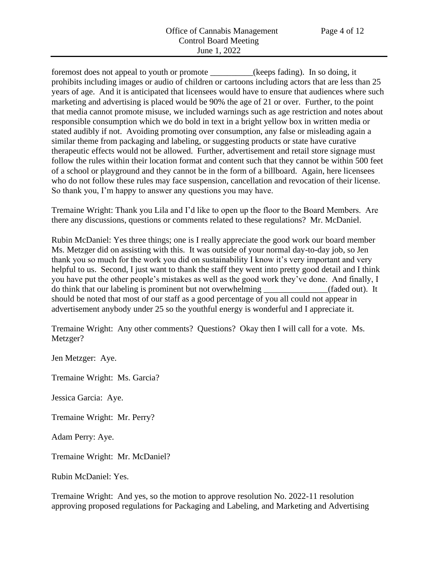foremost does not appeal to youth or promote \_\_\_\_\_\_\_\_\_\_(keeps fading). In so doing, it prohibits including images or audio of children or cartoons including actors that are less than 25 years of age. And it is anticipated that licensees would have to ensure that audiences where such marketing and advertising is placed would be 90% the age of 21 or over. Further, to the point that media cannot promote misuse, we included warnings such as age restriction and notes about responsible consumption which we do bold in text in a bright yellow box in written media or stated audibly if not. Avoiding promoting over consumption, any false or misleading again a similar theme from packaging and labeling, or suggesting products or state have curative therapeutic effects would not be allowed. Further, advertisement and retail store signage must follow the rules within their location format and content such that they cannot be within 500 feet of a school or playground and they cannot be in the form of a billboard. Again, here licensees who do not follow these rules may face suspension, cancellation and revocation of their license. So thank you, I'm happy to answer any questions you may have.

Tremaine Wright: Thank you Lila and I'd like to open up the floor to the Board Members. Are there any discussions, questions or comments related to these regulations? Mr. McDaniel.

Rubin McDaniel: Yes three things; one is I really appreciate the good work our board member Ms. Metzger did on assisting with this. It was outside of your normal day-to-day job, so Jen thank you so much for the work you did on sustainability I know it's very important and very helpful to us. Second, I just want to thank the staff they went into pretty good detail and I think you have put the other people's mistakes as well as the good work they've done. And finally, I do think that our labeling is prominent but not overwhelming \_\_\_\_\_\_\_\_\_\_\_\_\_\_\_(faded out). It should be noted that most of our staff as a good percentage of you all could not appear in advertisement anybody under 25 so the youthful energy is wonderful and I appreciate it.

Tremaine Wright: Any other comments? Questions? Okay then I will call for a vote. Ms. Metzger?

Jen Metzger: Aye.

Tremaine Wright: Ms. Garcia?

Jessica Garcia: Aye.

Tremaine Wright: Mr. Perry?

Adam Perry: Aye.

Tremaine Wright: Mr. McDaniel?

Rubin McDaniel: Yes.

Tremaine Wright: And yes, so the motion to approve resolution No. 2022-11 resolution approving proposed regulations for Packaging and Labeling, and Marketing and Advertising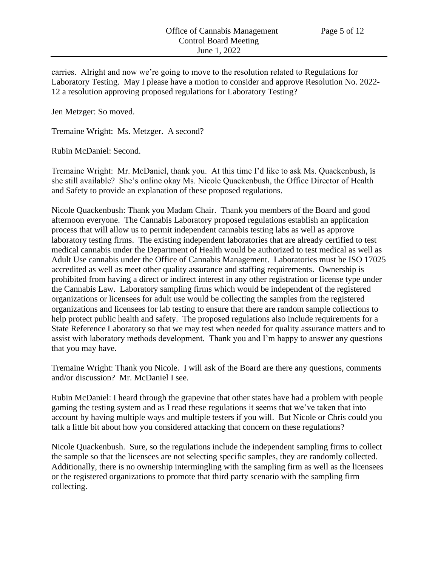carries. Alright and now we're going to move to the resolution related to Regulations for Laboratory Testing. May I please have a motion to consider and approve Resolution No. 2022- 12 a resolution approving proposed regulations for Laboratory Testing?

Jen Metzger: So moved.

Tremaine Wright: Ms. Metzger. A second?

Rubin McDaniel: Second.

Tremaine Wright: Mr. McDaniel, thank you. At this time I'd like to ask Ms. Quackenbush, is she still available? She's online okay Ms. Nicole Quackenbush, the Office Director of Health and Safety to provide an explanation of these proposed regulations.

Nicole Quackenbush: Thank you Madam Chair. Thank you members of the Board and good afternoon everyone. The Cannabis Laboratory proposed regulations establish an application process that will allow us to permit independent cannabis testing labs as well as approve laboratory testing firms. The existing independent laboratories that are already certified to test medical cannabis under the Department of Health would be authorized to test medical as well as Adult Use cannabis under the Office of Cannabis Management. Laboratories must be ISO 17025 accredited as well as meet other quality assurance and staffing requirements. Ownership is prohibited from having a direct or indirect interest in any other registration or license type under the Cannabis Law. Laboratory sampling firms which would be independent of the registered organizations or licensees for adult use would be collecting the samples from the registered organizations and licensees for lab testing to ensure that there are random sample collections to help protect public health and safety. The proposed regulations also include requirements for a State Reference Laboratory so that we may test when needed for quality assurance matters and to assist with laboratory methods development. Thank you and I'm happy to answer any questions that you may have.

Tremaine Wright: Thank you Nicole. I will ask of the Board are there any questions, comments and/or discussion? Mr. McDaniel I see.

Rubin McDaniel: I heard through the grapevine that other states have had a problem with people gaming the testing system and as I read these regulations it seems that we've taken that into account by having multiple ways and multiple testers if you will. But Nicole or Chris could you talk a little bit about how you considered attacking that concern on these regulations?

Nicole Quackenbush. Sure, so the regulations include the independent sampling firms to collect the sample so that the licensees are not selecting specific samples, they are randomly collected. Additionally, there is no ownership intermingling with the sampling firm as well as the licensees or the registered organizations to promote that third party scenario with the sampling firm collecting.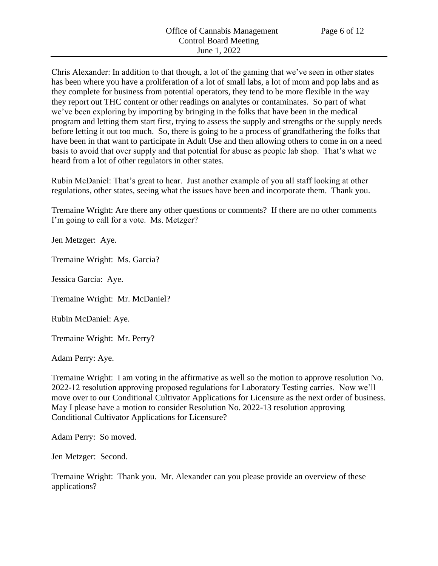Chris Alexander: In addition to that though, a lot of the gaming that we've seen in other states has been where you have a proliferation of a lot of small labs, a lot of mom and pop labs and as they complete for business from potential operators, they tend to be more flexible in the way they report out THC content or other readings on analytes or contaminates. So part of what we've been exploring by importing by bringing in the folks that have been in the medical program and letting them start first, trying to assess the supply and strengths or the supply needs before letting it out too much. So, there is going to be a process of grandfathering the folks that have been in that want to participate in Adult Use and then allowing others to come in on a need basis to avoid that over supply and that potential for abuse as people lab shop. That's what we heard from a lot of other regulators in other states.

Rubin McDaniel: That's great to hear. Just another example of you all staff looking at other regulations, other states, seeing what the issues have been and incorporate them. Thank you.

Tremaine Wright: Are there any other questions or comments? If there are no other comments I'm going to call for a vote. Ms. Metzger?

Jen Metzger: Aye.

Tremaine Wright: Ms. Garcia?

Jessica Garcia: Aye.

Tremaine Wright: Mr. McDaniel?

Rubin McDaniel: Aye.

Tremaine Wright: Mr. Perry?

Adam Perry: Aye.

Tremaine Wright: I am voting in the affirmative as well so the motion to approve resolution No. 2022-12 resolution approving proposed regulations for Laboratory Testing carries. Now we'll move over to our Conditional Cultivator Applications for Licensure as the next order of business. May I please have a motion to consider Resolution No. 2022-13 resolution approving Conditional Cultivator Applications for Licensure?

Adam Perry: So moved.

Jen Metzger: Second.

Tremaine Wright: Thank you. Mr. Alexander can you please provide an overview of these applications?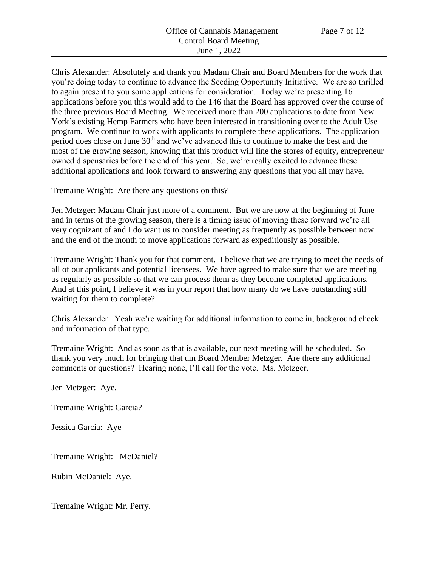Chris Alexander: Absolutely and thank you Madam Chair and Board Members for the work that you're doing today to continue to advance the Seeding Opportunity Initiative. We are so thrilled to again present to you some applications for consideration. Today we're presenting 16 applications before you this would add to the 146 that the Board has approved over the course of the three previous Board Meeting. We received more than 200 applications to date from New York's existing Hemp Farmers who have been interested in transitioning over to the Adult Use program. We continue to work with applicants to complete these applications. The application period does close on June 30th and we've advanced this to continue to make the best and the most of the growing season, knowing that this product will line the stores of equity, entrepreneur owned dispensaries before the end of this year. So, we're really excited to advance these additional applications and look forward to answering any questions that you all may have.

Tremaine Wright: Are there any questions on this?

Jen Metzger: Madam Chair just more of a comment. But we are now at the beginning of June and in terms of the growing season, there is a timing issue of moving these forward we're all very cognizant of and I do want us to consider meeting as frequently as possible between now and the end of the month to move applications forward as expeditiously as possible.

Tremaine Wright: Thank you for that comment. I believe that we are trying to meet the needs of all of our applicants and potential licensees. We have agreed to make sure that we are meeting as regularly as possible so that we can process them as they become completed applications. And at this point, I believe it was in your report that how many do we have outstanding still waiting for them to complete?

Chris Alexander: Yeah we're waiting for additional information to come in, background check and information of that type.

Tremaine Wright: And as soon as that is available, our next meeting will be scheduled. So thank you very much for bringing that um Board Member Metzger. Are there any additional comments or questions? Hearing none, I'll call for the vote. Ms. Metzger.

Jen Metzger: Aye.

Tremaine Wright: Garcia?

Jessica Garcia: Aye

Tremaine Wright: McDaniel?

Rubin McDaniel: Aye.

Tremaine Wright: Mr. Perry.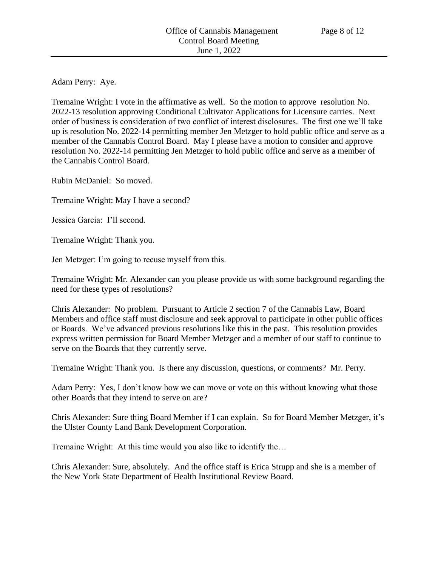Adam Perry: Aye.

Tremaine Wright: I vote in the affirmative as well. So the motion to approve resolution No. 2022-13 resolution approving Conditional Cultivator Applications for Licensure carries. Next order of business is consideration of two conflict of interest disclosures. The first one we'll take up is resolution No. 2022-14 permitting member Jen Metzger to hold public office and serve as a member of the Cannabis Control Board. May I please have a motion to consider and approve resolution No. 2022-14 permitting Jen Metzger to hold public office and serve as a member of the Cannabis Control Board.

Rubin McDaniel: So moved.

Tremaine Wright: May I have a second?

Jessica Garcia: I'll second.

Tremaine Wright: Thank you.

Jen Metzger: I'm going to recuse myself from this.

Tremaine Wright: Mr. Alexander can you please provide us with some background regarding the need for these types of resolutions?

Chris Alexander: No problem. Pursuant to Article 2 section 7 of the Cannabis Law, Board Members and office staff must disclosure and seek approval to participate in other public offices or Boards. We've advanced previous resolutions like this in the past. This resolution provides express written permission for Board Member Metzger and a member of our staff to continue to serve on the Boards that they currently serve.

Tremaine Wright: Thank you. Is there any discussion, questions, or comments? Mr. Perry.

Adam Perry: Yes, I don't know how we can move or vote on this without knowing what those other Boards that they intend to serve on are?

Chris Alexander: Sure thing Board Member if I can explain. So for Board Member Metzger, it's the Ulster County Land Bank Development Corporation.

Tremaine Wright: At this time would you also like to identify the…

Chris Alexander: Sure, absolutely. And the office staff is Erica Strupp and she is a member of the New York State Department of Health Institutional Review Board.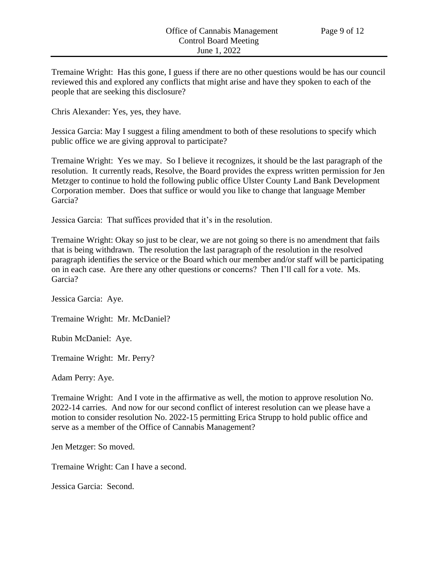Tremaine Wright: Has this gone, I guess if there are no other questions would be has our council reviewed this and explored any conflicts that might arise and have they spoken to each of the people that are seeking this disclosure?

Chris Alexander: Yes, yes, they have.

Jessica Garcia: May I suggest a filing amendment to both of these resolutions to specify which public office we are giving approval to participate?

Tremaine Wright: Yes we may. So I believe it recognizes, it should be the last paragraph of the resolution. It currently reads, Resolve, the Board provides the express written permission for Jen Metzger to continue to hold the following public office Ulster County Land Bank Development Corporation member. Does that suffice or would you like to change that language Member Garcia?

Jessica Garcia: That suffices provided that it's in the resolution.

Tremaine Wright: Okay so just to be clear, we are not going so there is no amendment that fails that is being withdrawn. The resolution the last paragraph of the resolution in the resolved paragraph identifies the service or the Board which our member and/or staff will be participating on in each case. Are there any other questions or concerns? Then I'll call for a vote. Ms. Garcia?

Jessica Garcia: Aye.

Tremaine Wright: Mr. McDaniel?

Rubin McDaniel: Aye.

Tremaine Wright: Mr. Perry?

Adam Perry: Aye.

Tremaine Wright: And I vote in the affirmative as well, the motion to approve resolution No. 2022-14 carries. And now for our second conflict of interest resolution can we please have a motion to consider resolution No. 2022-15 permitting Erica Strupp to hold public office and serve as a member of the Office of Cannabis Management?

Jen Metzger: So moved.

Tremaine Wright: Can I have a second.

Jessica Garcia: Second.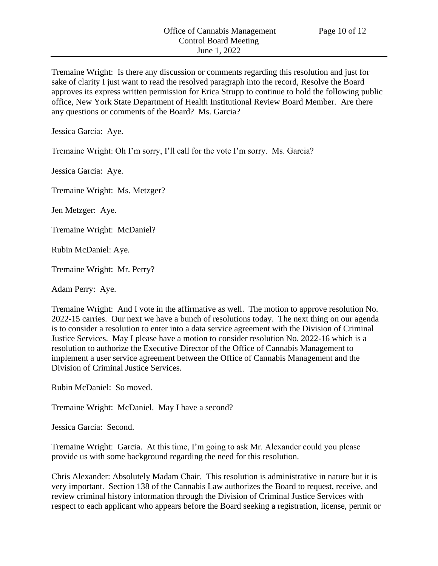Tremaine Wright: Is there any discussion or comments regarding this resolution and just for sake of clarity I just want to read the resolved paragraph into the record, Resolve the Board approves its express written permission for Erica Strupp to continue to hold the following public office, New York State Department of Health Institutional Review Board Member. Are there any questions or comments of the Board? Ms. Garcia?

Jessica Garcia: Aye.

Tremaine Wright: Oh I'm sorry, I'll call for the vote I'm sorry. Ms. Garcia?

Jessica Garcia: Aye.

Tremaine Wright: Ms. Metzger?

Jen Metzger: Aye.

Tremaine Wright: McDaniel?

Rubin McDaniel: Aye.

Tremaine Wright: Mr. Perry?

Adam Perry: Aye.

Tremaine Wright: And I vote in the affirmative as well. The motion to approve resolution No. 2022-15 carries. Our next we have a bunch of resolutions today. The next thing on our agenda is to consider a resolution to enter into a data service agreement with the Division of Criminal Justice Services. May I please have a motion to consider resolution No. 2022-16 which is a resolution to authorize the Executive Director of the Office of Cannabis Management to implement a user service agreement between the Office of Cannabis Management and the Division of Criminal Justice Services.

Rubin McDaniel: So moved.

Tremaine Wright: McDaniel. May I have a second?

Jessica Garcia: Second.

Tremaine Wright: Garcia. At this time, I'm going to ask Mr. Alexander could you please provide us with some background regarding the need for this resolution.

Chris Alexander: Absolutely Madam Chair. This resolution is administrative in nature but it is very important. Section 138 of the Cannabis Law authorizes the Board to request, receive, and review criminal history information through the Division of Criminal Justice Services with respect to each applicant who appears before the Board seeking a registration, license, permit or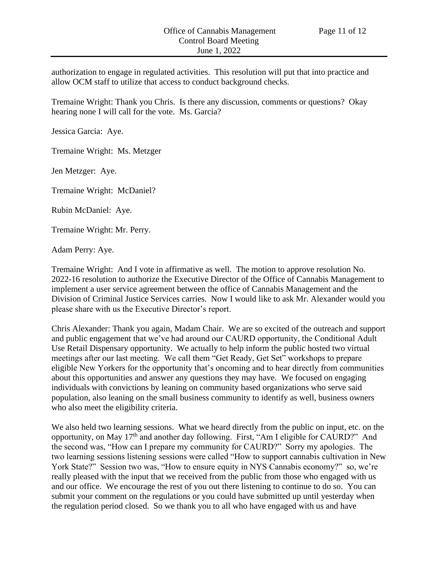authorization to engage in regulated activities. This resolution will put that into practice and allow OCM staff to utilize that access to conduct background checks.

Tremaine Wright: Thank you Chris. Is there any discussion, comments or questions? Okay hearing none I will call for the vote. Ms. Garcia?

Jessica Garcia: Aye.

Tremaine Wright: Ms. Metzger

Jen Metzger: Aye.

Tremaine Wright: McDaniel?

Rubin McDaniel: Aye.

Tremaine Wright: Mr. Perry.

Adam Perry: Aye.

Tremaine Wright: And I vote in affirmative as well. The motion to approve resolution No. 2022-16 resolution to authorize the Executive Director of the Office of Cannabis Management to implement a user service agreement between the office of Cannabis Management and the Division of Criminal Justice Services carries. Now I would like to ask Mr. Alexander would you please share with us the Executive Director's report.

Chris Alexander: Thank you again, Madam Chair. We are so excited of the outreach and support and public engagement that we've had around our CAURD opportunity, the Conditional Adult Use Retail Dispensary opportunity. We actually to help inform the public hosted two virtual meetings after our last meeting. We call them "Get Ready, Get Set" workshops to prepare eligible New Yorkers for the opportunity that's oncoming and to hear directly from communities about this opportunities and answer any questions they may have. We focused on engaging individuals with convictions by leaning on community based organizations who serve said population, also leaning on the small business community to identify as well, business owners who also meet the eligibility criteria.

We also held two learning sessions. What we heard directly from the public on input, etc. on the opportunity, on May 17<sup>th</sup> and another day following. First, "Am I eligible for CAURD?" And the second was, "How can I prepare my community for CAURD?" Sorry my apologies. The two learning sessions listening sessions were called "How to support cannabis cultivation in New York State?" Session two was, "How to ensure equity in NYS Cannabis economy?" so, we're really pleased with the input that we received from the public from those who engaged with us and our office. We encourage the rest of you out there listening to continue to do so. You can submit your comment on the regulations or you could have submitted up until yesterday when the regulation period closed. So we thank you to all who have engaged with us and have